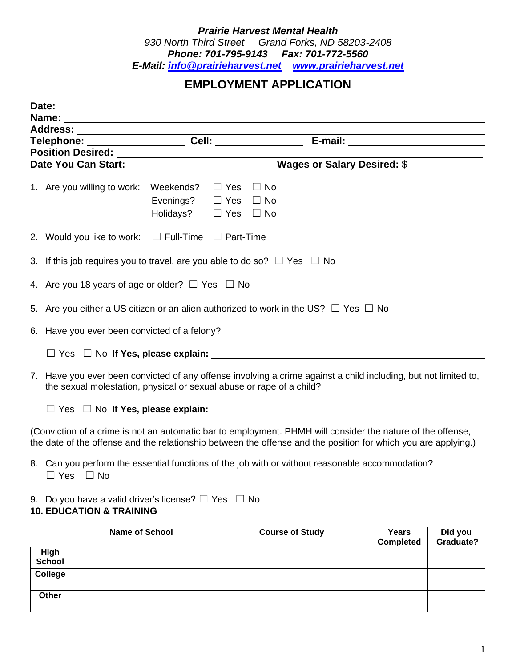## *Prairie Harvest Mental Health 930 North Third Street Grand Forks, ND 58203-2408 Phone: 701-795-9143 Fax: 701-772-5560 E-Mail: [info@prairieharvest.net](mailto:info@prairieharvest.net) [www.prairieharvest.net](http://www.prairieharvest.net/)*

## **EMPLOYMENT APPLICATION**

|                                                                                                                         | Date: __________                                                                                                                                                                                                              |                                                                                                    |  |                        |                                        |                                  |                      |  |
|-------------------------------------------------------------------------------------------------------------------------|-------------------------------------------------------------------------------------------------------------------------------------------------------------------------------------------------------------------------------|----------------------------------------------------------------------------------------------------|--|------------------------|----------------------------------------|----------------------------------|----------------------|--|
|                                                                                                                         |                                                                                                                                                                                                                               |                                                                                                    |  |                        |                                        |                                  |                      |  |
|                                                                                                                         |                                                                                                                                                                                                                               |                                                                                                    |  |                        |                                        |                                  |                      |  |
|                                                                                                                         |                                                                                                                                                                                                                               |                                                                                                    |  |                        |                                        |                                  |                      |  |
|                                                                                                                         |                                                                                                                                                                                                                               |                                                                                                    |  |                        |                                        |                                  |                      |  |
|                                                                                                                         |                                                                                                                                                                                                                               |                                                                                                    |  |                        | Wages or Salary Desired: $\frac{6}{9}$ |                                  |                      |  |
|                                                                                                                         | 1. Are you willing to work:                                                                                                                                                                                                   | Weekends? $\Box$ Yes $\Box$ No<br>Evenings? $\Box$ Yes $\Box$ No<br>Holidays? $\Box$ Yes $\Box$ No |  |                        |                                        |                                  |                      |  |
|                                                                                                                         | 2. Would you like to work: $\square$ Full-Time $\square$ Part-Time                                                                                                                                                            |                                                                                                    |  |                        |                                        |                                  |                      |  |
| 3. If this job requires you to travel, are you able to do so? $\Box$ Yes $\Box$ No                                      |                                                                                                                                                                                                                               |                                                                                                    |  |                        |                                        |                                  |                      |  |
|                                                                                                                         | 4. Are you 18 years of age or older? $\Box$ Yes $\Box$ No                                                                                                                                                                     |                                                                                                    |  |                        |                                        |                                  |                      |  |
|                                                                                                                         | 5. Are you either a US citizen or an alien authorized to work in the US? $\Box$ Yes $\Box$ No                                                                                                                                 |                                                                                                    |  |                        |                                        |                                  |                      |  |
|                                                                                                                         | 6. Have you ever been convicted of a felony?                                                                                                                                                                                  |                                                                                                    |  |                        |                                        |                                  |                      |  |
|                                                                                                                         | $\Box$ Yes $\Box$ No If Yes, please explain: $\Box$                                                                                                                                                                           |                                                                                                    |  |                        |                                        |                                  |                      |  |
|                                                                                                                         | 7. Have you ever been convicted of any offense involving a crime against a child including, but not limited to,<br>the sexual molestation, physical or sexual abuse or rape of a child?                                       |                                                                                                    |  |                        |                                        |                                  |                      |  |
|                                                                                                                         |                                                                                                                                                                                                                               |                                                                                                    |  |                        |                                        |                                  |                      |  |
|                                                                                                                         | (Conviction of a crime is not an automatic bar to employment. PHMH will consider the nature of the offense,<br>the date of the offense and the relationship between the offense and the position for which you are applying.) |                                                                                                    |  |                        |                                        |                                  |                      |  |
| 8. Can you perform the essential functions of the job with or without reasonable accommodation?<br>$\Box$ Yes $\Box$ No |                                                                                                                                                                                                                               |                                                                                                    |  |                        |                                        |                                  |                      |  |
|                                                                                                                         | 9. Do you have a valid driver's license? $\Box$ Yes $\Box$ No<br><b>10. EDUCATION &amp; TRAINING</b>                                                                                                                          |                                                                                                    |  |                        |                                        |                                  |                      |  |
|                                                                                                                         | <b>Name of School</b>                                                                                                                                                                                                         |                                                                                                    |  | <b>Course of Study</b> |                                        | <b>Years</b><br><b>Completed</b> | Did you<br>Graduate? |  |
| High<br><b>School</b>                                                                                                   |                                                                                                                                                                                                                               |                                                                                                    |  |                        |                                        |                                  |                      |  |
| <b>College</b>                                                                                                          |                                                                                                                                                                                                                               |                                                                                                    |  |                        |                                        |                                  |                      |  |

**Other**